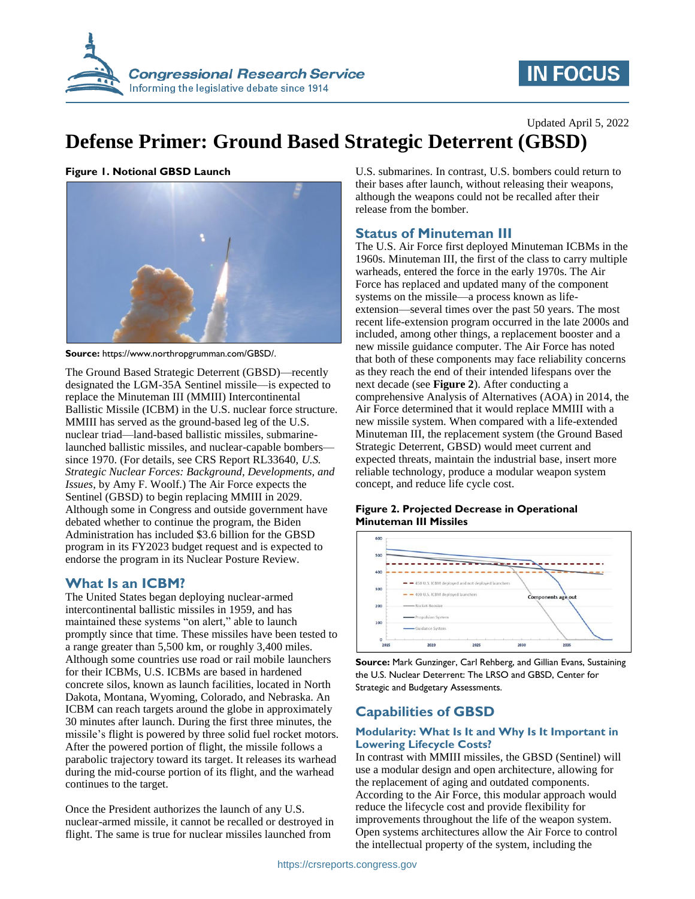

# **IN FOCUS**

Updated April 5, 2022

# **Defense Primer: Ground Based Strategic Deterrent (GBSD)**

**Figure 1. Notional GBSD Launch**



**Source:** https://www.northropgrumman.com/GBSD/.

The Ground Based Strategic Deterrent (GBSD)—recently designated the LGM-35A Sentinel missile—is expected to replace the Minuteman III (MMIII) Intercontinental Ballistic Missile (ICBM) in the U.S. nuclear force structure. MMIII has served as the ground-based leg of the U.S. nuclear triad—land-based ballistic missiles, submarinelaunched ballistic missiles, and nuclear-capable bombers since 1970. (For details, see CRS Report RL33640, *U.S. Strategic Nuclear Forces: Background, Developments, and Issues*, by Amy F. Woolf.) The Air Force expects the Sentinel (GBSD) to begin replacing MMIII in 2029. Although some in Congress and outside government have debated whether to continue the program, the Biden Administration has included \$3.6 billion for the GBSD program in its FY2023 budget request and is expected to endorse the program in its Nuclear Posture Review.

## **What Is an ICBM?**

The United States began deploying nuclear-armed intercontinental ballistic missiles in 1959, and has maintained these systems "on alert," able to launch promptly since that time. These missiles have been tested to a range greater than 5,500 km, or roughly 3,400 miles. Although some countries use road or rail mobile launchers for their ICBMs, U.S. ICBMs are based in hardened concrete silos, known as launch facilities, located in North Dakota, Montana, Wyoming, Colorado, and Nebraska. An ICBM can reach targets around the globe in approximately 30 minutes after launch. During the first three minutes, the missile's flight is powered by three solid fuel rocket motors. After the powered portion of flight, the missile follows a parabolic trajectory toward its target. It releases its warhead during the mid-course portion of its flight, and the warhead continues to the target.

Once the President authorizes the launch of any U.S. nuclear-armed missile, it cannot be recalled or destroyed in flight. The same is true for nuclear missiles launched from

U.S. submarines. In contrast, U.S. bombers could return to their bases after launch, without releasing their weapons, although the weapons could not be recalled after their release from the bomber.

## **Status of Minuteman III**

The U.S. Air Force first deployed Minuteman ICBMs in the 1960s. Minuteman III, the first of the class to carry multiple warheads, entered the force in the early 1970s. The Air Force has replaced and updated many of the component systems on the missile—a process known as lifeextension—several times over the past 50 years. The most recent life-extension program occurred in the late 2000s and included, among other things, a replacement booster and a new missile guidance computer. The Air Force has noted that both of these components may face reliability concerns as they reach the end of their intended lifespans over the next decade (see **[Figure 2](#page-0-0)**). After conducting a comprehensive Analysis of Alternatives (AOA) in 2014, the Air Force determined that it would replace MMIII with a new missile system. When compared with a life-extended Minuteman III, the replacement system (the Ground Based Strategic Deterrent, GBSD) would meet current and expected threats, maintain the industrial base, insert more reliable technology, produce a modular weapon system concept, and reduce life cycle cost.

## <span id="page-0-0"></span>**Figure 2. Projected Decrease in Operational Minuteman III Missiles**



**Source:** Mark Gunzinger, Carl Rehberg, and Gillian Evans, Sustaining the U.S. Nuclear Deterrent: The LRSO and GBSD, Center for Strategic and Budgetary Assessments.

# **Capabilities of GBSD**

### **Modularity: What Is It and Why Is It Important in Lowering Lifecycle Costs?**

In contrast with MMIII missiles, the GBSD (Sentinel) will use a modular design and open architecture, allowing for the replacement of aging and outdated components. According to the Air Force, this modular approach would reduce the lifecycle cost and provide flexibility for improvements throughout the life of the weapon system. Open systems architectures allow the Air Force to control the intellectual property of the system, including the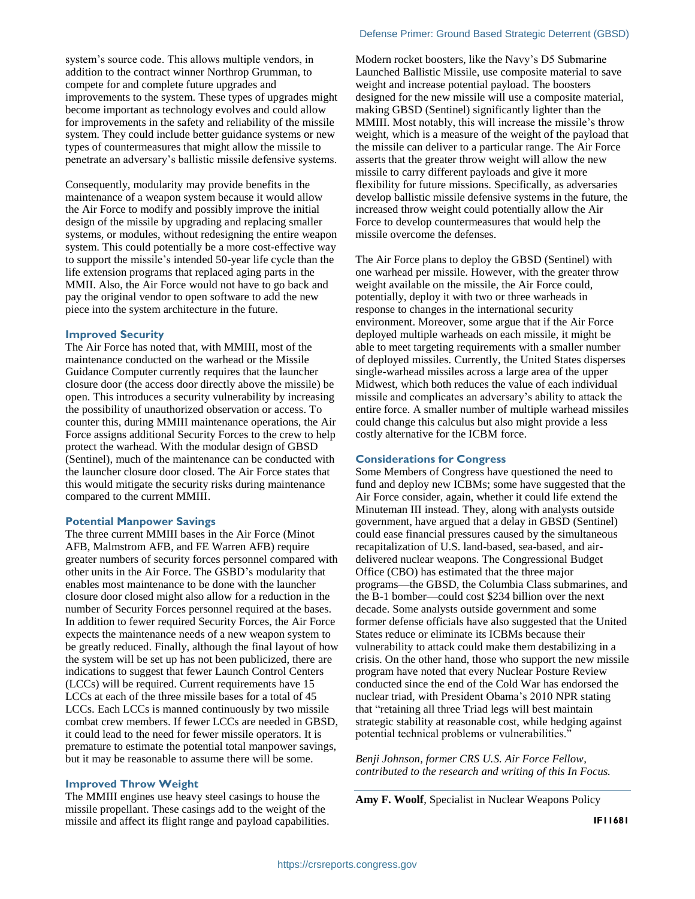system's source code. This allows multiple vendors, in addition to the contract winner Northrop Grumman, to compete for and complete future upgrades and improvements to the system. These types of upgrades might become important as technology evolves and could allow for improvements in the safety and reliability of the missile system. They could include better guidance systems or new types of countermeasures that might allow the missile to penetrate an adversary's ballistic missile defensive systems.

Consequently, modularity may provide benefits in the maintenance of a weapon system because it would allow the Air Force to modify and possibly improve the initial design of the missile by upgrading and replacing smaller systems, or modules, without redesigning the entire weapon system. This could potentially be a more cost-effective way to support the missile's intended 50-year life cycle than the life extension programs that replaced aging parts in the MMII. Also, the Air Force would not have to go back and pay the original vendor to open software to add the new piece into the system architecture in the future.

### **Improved Security**

The Air Force has noted that, with MMIII, most of the maintenance conducted on the warhead or the Missile Guidance Computer currently requires that the launcher closure door (the access door directly above the missile) be open. This introduces a security vulnerability by increasing the possibility of unauthorized observation or access. To counter this, during MMIII maintenance operations, the Air Force assigns additional Security Forces to the crew to help protect the warhead. With the modular design of GBSD (Sentinel), much of the maintenance can be conducted with the launcher closure door closed. The Air Force states that this would mitigate the security risks during maintenance compared to the current MMIII.

#### **Potential Manpower Savings**

The three current MMIII bases in the Air Force (Minot AFB, Malmstrom AFB, and FE Warren AFB) require greater numbers of security forces personnel compared with other units in the Air Force. The GSBD's modularity that enables most maintenance to be done with the launcher closure door closed might also allow for a reduction in the number of Security Forces personnel required at the bases. In addition to fewer required Security Forces, the Air Force expects the maintenance needs of a new weapon system to be greatly reduced. Finally, although the final layout of how the system will be set up has not been publicized, there are indications to suggest that fewer Launch Control Centers (LCCs) will be required. Current requirements have 15 LCCs at each of the three missile bases for a total of 45 LCCs. Each LCCs is manned continuously by two missile combat crew members. If fewer LCCs are needed in GBSD, it could lead to the need for fewer missile operators. It is premature to estimate the potential total manpower savings, but it may be reasonable to assume there will be some.

#### **Improved Throw Weight**

The MMIII engines use heavy steel casings to house the missile propellant. These casings add to the weight of the missile and affect its flight range and payload capabilities. Modern rocket boosters, like the Navy's D5 Submarine Launched Ballistic Missile, use composite material to save weight and increase potential payload. The boosters designed for the new missile will use a composite material, making GBSD (Sentinel) significantly lighter than the MMIII. Most notably, this will increase the missile's throw weight, which is a measure of the weight of the payload that the missile can deliver to a particular range. The Air Force asserts that the greater throw weight will allow the new missile to carry different payloads and give it more flexibility for future missions. Specifically, as adversaries develop ballistic missile defensive systems in the future, the increased throw weight could potentially allow the Air Force to develop countermeasures that would help the missile overcome the defenses.

The Air Force plans to deploy the GBSD (Sentinel) with one warhead per missile. However, with the greater throw weight available on the missile, the Air Force could, potentially, deploy it with two or three warheads in response to changes in the international security environment. Moreover, some argue that if the Air Force deployed multiple warheads on each missile, it might be able to meet targeting requirements with a smaller number of deployed missiles. Currently, the United States disperses single-warhead missiles across a large area of the upper Midwest, which both reduces the value of each individual missile and complicates an adversary's ability to attack the entire force. A smaller number of multiple warhead missiles could change this calculus but also might provide a less costly alternative for the ICBM force.

#### **Considerations for Congress**

Some Members of Congress have questioned the need to fund and deploy new ICBMs; some have suggested that the Air Force consider, again, whether it could life extend the Minuteman III instead. They, along with analysts outside government, have argued that a delay in GBSD (Sentinel) could ease financial pressures caused by the simultaneous recapitalization of U.S. land-based, sea-based, and airdelivered nuclear weapons. The Congressional Budget Office (CBO) has estimated that the three major programs—the GBSD, the Columbia Class submarines, and the B-1 bomber—could cost \$234 billion over the next decade. Some analysts outside government and some former defense officials have also suggested that the United States reduce or eliminate its ICBMs because their vulnerability to attack could make them destabilizing in a crisis. On the other hand, those who support the new missile program have noted that every Nuclear Posture Review conducted since the end of the Cold War has endorsed the nuclear triad, with President Obama's 2010 NPR stating that "retaining all three Triad legs will best maintain strategic stability at reasonable cost, while hedging against potential technical problems or vulnerabilities."

*Benji Johnson, former CRS U.S. Air Force Fellow, contributed to the research and writing of this In Focus.*

**Amy F. Woolf**, Specialist in Nuclear Weapons Policy